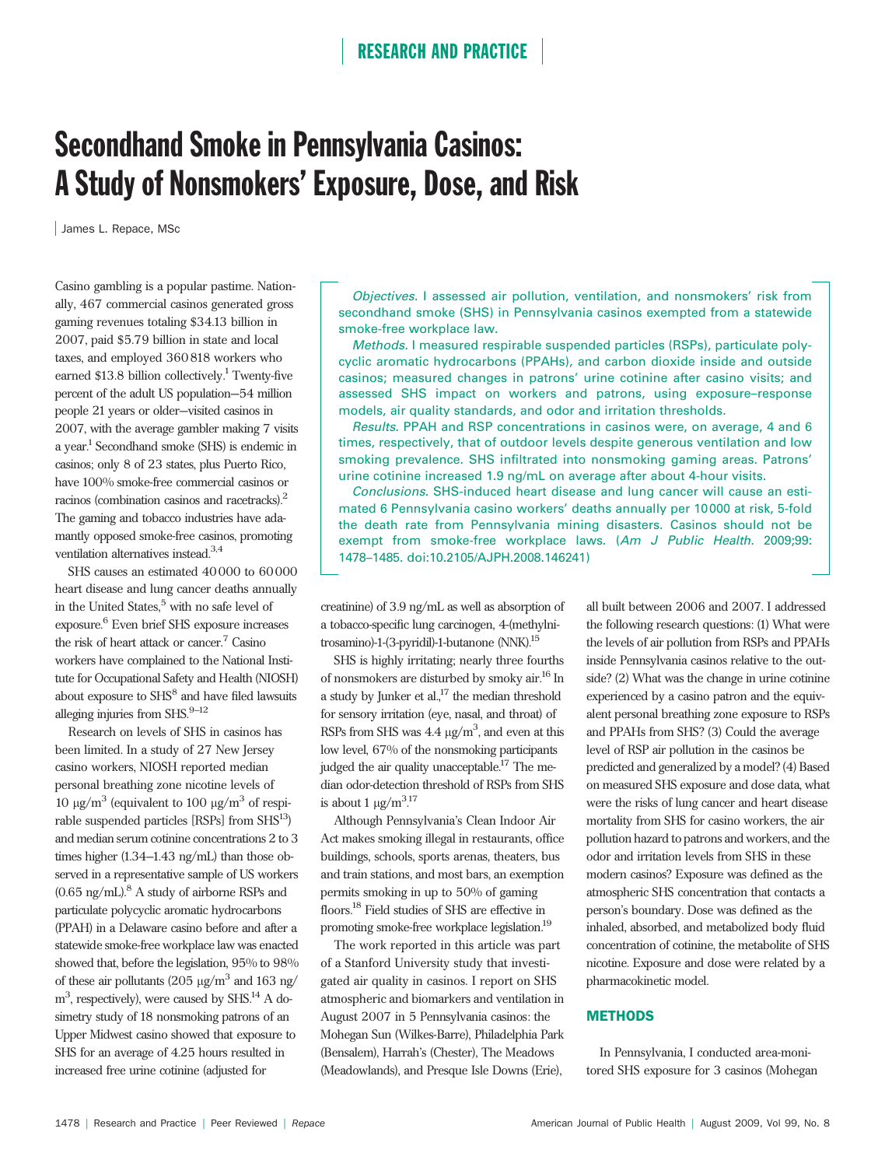# Secondhand Smoke in Pennsylvania Casinos: A Study of Nonsmokers' Exposure, Dose, and Risk

James L. Repace, MSc

Casino gambling is a popular pastime. Nationally, 467 commercial casinos generated gross gaming revenues totaling \$34.13 billion in 2007, paid \$5.79 billion in state and local taxes, and employed 360 818 workers who earned \$13.8 billion collectively.<sup>1</sup> Twenty-five percent of the adult US population—54 million people 21 years or older—visited casinos in 2007, with the average gambler making 7 visits a year.1 Secondhand smoke (SHS) is endemic in casinos; only 8 of 23 states, plus Puerto Rico, have 100% smoke-free commercial casinos or racinos (combination casinos and racetracks).2 The gaming and tobacco industries have adamantly opposed smoke-free casinos, promoting ventilation alternatives instead.3,4

SHS causes an estimated 40 000 to 60 000 heart disease and lung cancer deaths annually in the United States,<sup>5</sup> with no safe level of exposure.6 Even brief SHS exposure increases the risk of heart attack or cancer.<sup>7</sup> Casino workers have complained to the National Institute for Occupational Safety and Health (NIOSH) about exposure to SHS<sup>8</sup> and have filed lawsuits alleging injuries from SHS. $9-12$ 

Research on levels of SHS in casinos has been limited. In a study of 27 New Jersey casino workers, NIOSH reported median personal breathing zone nicotine levels of 10  $\mu$ g/m<sup>3</sup> (equivalent to 100  $\mu$ g/m<sup>3</sup> of respirable suspended particles  $[RSPs]$  from  $SHS<sup>13</sup>$ ) and median serum cotinine concentrations 2 to 3 times higher (1.34–1.43 ng/mL) than those observed in a representative sample of US workers  $(0.65 \text{ ng/mL})$ .<sup>8</sup> A study of airborne RSPs and particulate polycyclic aromatic hydrocarbons (PPAH) in a Delaware casino before and after a statewide smoke-free workplace law was enacted showed that, before the legislation, 95% to 98% of these air pollutants (205  $\mu$ g/m<sup>3</sup> and 163 ng/ m<sup>3</sup>, respectively), were caused by SHS.<sup>14</sup> A dosimetry study of 18 nonsmoking patrons of an Upper Midwest casino showed that exposure to SHS for an average of 4.25 hours resulted in increased free urine cotinine (adjusted for

Objectives. I assessed air pollution, ventilation, and nonsmokers' risk from secondhand smoke (SHS) in Pennsylvania casinos exempted from a statewide smoke-free workplace law.

Methods. I measured respirable suspended particles (RSPs), particulate polycyclic aromatic hydrocarbons (PPAHs), and carbon dioxide inside and outside casinos; measured changes in patrons' urine cotinine after casino visits; and assessed SHS impact on workers and patrons, using exposure–response models, air quality standards, and odor and irritation thresholds.

Results. PPAH and RSP concentrations in casinos were, on average, 4 and 6 times, respectively, that of outdoor levels despite generous ventilation and low smoking prevalence. SHS infiltrated into nonsmoking gaming areas. Patrons' urine cotinine increased 1.9 ng/mL on average after about 4-hour visits.

Conclusions. SHS-induced heart disease and lung cancer will cause an estimated 6 Pennsylvania casino workers' deaths annually per 10000 at risk, 5-fold the death rate from Pennsylvania mining disasters. Casinos should not be exempt from smoke-free workplace laws. (Am J Public Health. 2009;99: 1478–1485. doi:10.2105/AJPH.2008.146241)

creatinine) of 3.9 ng/mL as well as absorption of a tobacco-specific lung carcinogen, 4-(methylnitrosamino)-1-(3-pyridil)-1-butanone (NNK).15

SHS is highly irritating; nearly three fourths of nonsmokers are disturbed by smoky air.16 In a study by Junker et al., $17$  the median threshold for sensory irritation (eye, nasal, and throat) of RSPs from SHS was  $4.4 \text{ µg/m}^3$ , and even at this low level, 67% of the nonsmoking participants judged the air quality unacceptable.<sup>17</sup> The median odor-detection threshold of RSPs from SHS is about 1  $\mu$ g/m<sup>3.17</sup> .

Although Pennsylvania's Clean Indoor Air Act makes smoking illegal in restaurants, office buildings, schools, sports arenas, theaters, bus and train stations, and most bars, an exemption permits smoking in up to 50% of gaming floors.18 Field studies of SHS are effective in promoting smoke-free workplace legislation.19

The work reported in this article was part of a Stanford University study that investigated air quality in casinos. I report on SHS atmospheric and biomarkers and ventilation in August 2007 in 5 Pennsylvania casinos: the Mohegan Sun (Wilkes-Barre), Philadelphia Park (Bensalem), Harrah's (Chester), The Meadows (Meadowlands), and Presque Isle Downs (Erie),

all built between 2006 and 2007. I addressed the following research questions: (1) What were the levels of air pollution from RSPs and PPAHs inside Pennsylvania casinos relative to the outside? (2) What was the change in urine cotinine experienced by a casino patron and the equivalent personal breathing zone exposure to RSPs and PPAHs from SHS? (3) Could the average level of RSP air pollution in the casinos be predicted and generalized by a model? (4) Based on measured SHS exposure and dose data, what were the risks of lung cancer and heart disease mortality from SHS for casino workers, the air pollution hazard to patrons and workers, and the odor and irritation levels from SHS in these modern casinos? Exposure was defined as the atmospheric SHS concentration that contacts a person's boundary. Dose was defined as the inhaled, absorbed, and metabolized body fluid concentration of cotinine, the metabolite of SHS nicotine. Exposure and dose were related by a pharmacokinetic model.

#### **METHODS**

In Pennsylvania, I conducted area-monitored SHS exposure for 3 casinos (Mohegan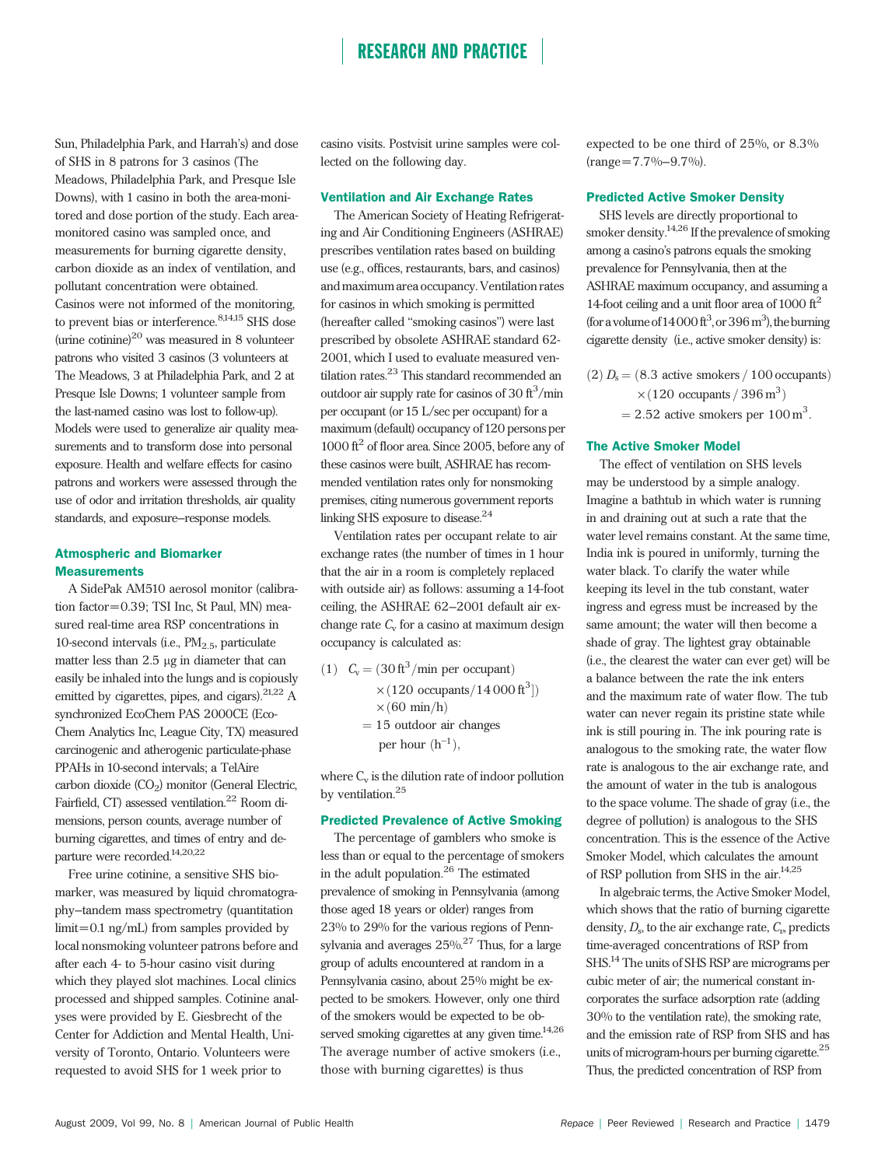Sun, Philadelphia Park, and Harrah's) and dose of SHS in 8 patrons for 3 casinos (The Meadows, Philadelphia Park, and Presque Isle Downs), with 1 casino in both the area-monitored and dose portion of the study. Each areamonitored casino was sampled once, and measurements for burning cigarette density, carbon dioxide as an index of ventilation, and pollutant concentration were obtained. Casinos were not informed of the monitoring, to prevent bias or interference.<sup>8,14,15</sup> SHS dose (urine cotinine) $^{20}$  was measured in 8 volunteer patrons who visited 3 casinos (3 volunteers at The Meadows, 3 at Philadelphia Park, and 2 at Presque Isle Downs; 1 volunteer sample from the last-named casino was lost to follow-up). Models were used to generalize air quality measurements and to transform dose into personal exposure. Health and welfare effects for casino patrons and workers were assessed through the use of odor and irritation thresholds, air quality standards, and exposure–response models.

#### Atmospheric and Biomarker **Measurements**

A SidePak AM510 aerosol monitor (calibration factor=0.39; TSI Inc, St Paul, MN) measured real-time area RSP concentrations in 10-second intervals (i.e.,  $PM_{2.5}$ , particulate matter less than  $2.5 \mu$ g in diameter that can easily be inhaled into the lungs and is copiously emitted by cigarettes, pipes, and cigars).<sup>21,22</sup> A synchronized EcoChem PAS 2000CE (Eco-Chem Analytics Inc, League City, TX) measured carcinogenic and atherogenic particulate-phase PPAHs in 10-second intervals; a TelAire carbon dioxide  $(CO<sub>2</sub>)$  monitor (General Electric, Fairfield, CT) assessed ventilation.<sup>22</sup> Room dimensions, person counts, average number of burning cigarettes, and times of entry and departure were recorded.14,20,22

Free urine cotinine, a sensitive SHS biomarker, was measured by liquid chromatography–tandem mass spectrometry (quantitation limit=0.1 ng/mL) from samples provided by local nonsmoking volunteer patrons before and after each 4- to 5-hour casino visit during which they played slot machines. Local clinics processed and shipped samples. Cotinine analyses were provided by E. Giesbrecht of the Center for Addiction and Mental Health, University of Toronto, Ontario. Volunteers were requested to avoid SHS for 1 week prior to

casino visits. Postvisit urine samples were collected on the following day.

#### Ventilation and Air Exchange Rates

The American Society of Heating Refrigerating and Air Conditioning Engineers (ASHRAE) prescribes ventilation rates based on building use (e.g., offices, restaurants, bars, and casinos) and maximum area occupancy. Ventilation rates for casinos in which smoking is permitted (hereafter called ''smoking casinos'') were last prescribed by obsolete ASHRAE standard 62- 2001, which I used to evaluate measured ventilation rates.<sup>23</sup> This standard recommended an outdoor air supply rate for casinos of 30  $\text{ft}^3/\text{min}$ per occupant (or 15 L/sec per occupant) for a maximum (default) occupancy of 120 persons per 1000  $\text{ft}^2$  of floor area. Since 2005, before any of these casinos were built, ASHRAE has recommended ventilation rates only for nonsmoking premises, citing numerous government reports linking SHS exposure to disease.<sup>24</sup>

Ventilation rates per occupant relate to air exchange rates (the number of times in 1 hour that the air in a room is completely replaced with outside air) as follows: assuming a 14-foot ceiling, the ASHRAE 62–2001 default air exchange rate  $C_v$  for a casino at maximum design occupancy is calculated as:

(1)  $C_v = (30 \text{ ft}^3/\text{min per occupant})$  $\times$  (120 occupants/14 000 ft<sup>3</sup>])  $\times$  (60 min/h)  $= 15$  outdoor air changes per hour  $(h^{-1})$ ,

where  $C_v$  is the dilution rate of indoor pollution by ventilation.<sup>25</sup>

#### Predicted Prevalence of Active Smoking

The percentage of gamblers who smoke is less than or equal to the percentage of smokers in the adult population.<sup>26</sup> The estimated prevalence of smoking in Pennsylvania (among those aged 18 years or older) ranges from 23% to 29% for the various regions of Pennsylvania and averages 25%.27 Thus, for a large group of adults encountered at random in a Pennsylvania casino, about 25% might be expected to be smokers. However, only one third of the smokers would be expected to be observed smoking cigarettes at any given time. $^{14,26}$ The average number of active smokers (i.e., those with burning cigarettes) is thus

expected to be one third of 25%, or 8.3%  $(range=7.7\% - 9.7\%).$ 

#### Predicted Active Smoker Density

SHS levels are directly proportional to smoker density.14,26 If the prevalence of smoking among a casino's patrons equals the smoking prevalence for Pennsylvania, then at the ASHRAE maximum occupancy, and assuming a 14-foot ceiling and a unit floor area of 1000  $\text{ft}^2$ (for a volume of  $14000 \text{ ft}^3$ , or  $396 \text{ m}^3$ ), the burning cigarette density (i.e., active smoker density) is:

- $(2) D<sub>s</sub> = (8.3 active smokers / 100 occurs)$  $\times (120$  occupants / 396 m<sup>3</sup>)
	- $= 2.52$  active smokers per 100 m<sup>3</sup>.

#### The Active Smoker Model

The effect of ventilation on SHS levels may be understood by a simple analogy. Imagine a bathtub in which water is running in and draining out at such a rate that the water level remains constant. At the same time, India ink is poured in uniformly, turning the water black. To clarify the water while keeping its level in the tub constant, water ingress and egress must be increased by the same amount; the water will then become a shade of gray. The lightest gray obtainable (i.e., the clearest the water can ever get) will be a balance between the rate the ink enters and the maximum rate of water flow. The tub water can never regain its pristine state while ink is still pouring in. The ink pouring rate is analogous to the smoking rate, the water flow rate is analogous to the air exchange rate, and the amount of water in the tub is analogous to the space volume. The shade of gray (i.e., the degree of pollution) is analogous to the SHS concentration. This is the essence of the Active Smoker Model, which calculates the amount of RSP pollution from SHS in the air.<sup>14,25</sup>

In algebraic terms, the Active Smoker Model, which shows that the ratio of burning cigarette density,  $D_s$ , to the air exchange rate,  $C_v$ , predicts time-averaged concentrations of RSP from SHS.14 The units of SHS RSP are micrograms per cubic meter of air; the numerical constant incorporates the surface adsorption rate (adding 30% to the ventilation rate), the smoking rate, and the emission rate of RSP from SHS and has units of microgram-hours per burning cigarette.<sup>25</sup> Thus, the predicted concentration of RSP from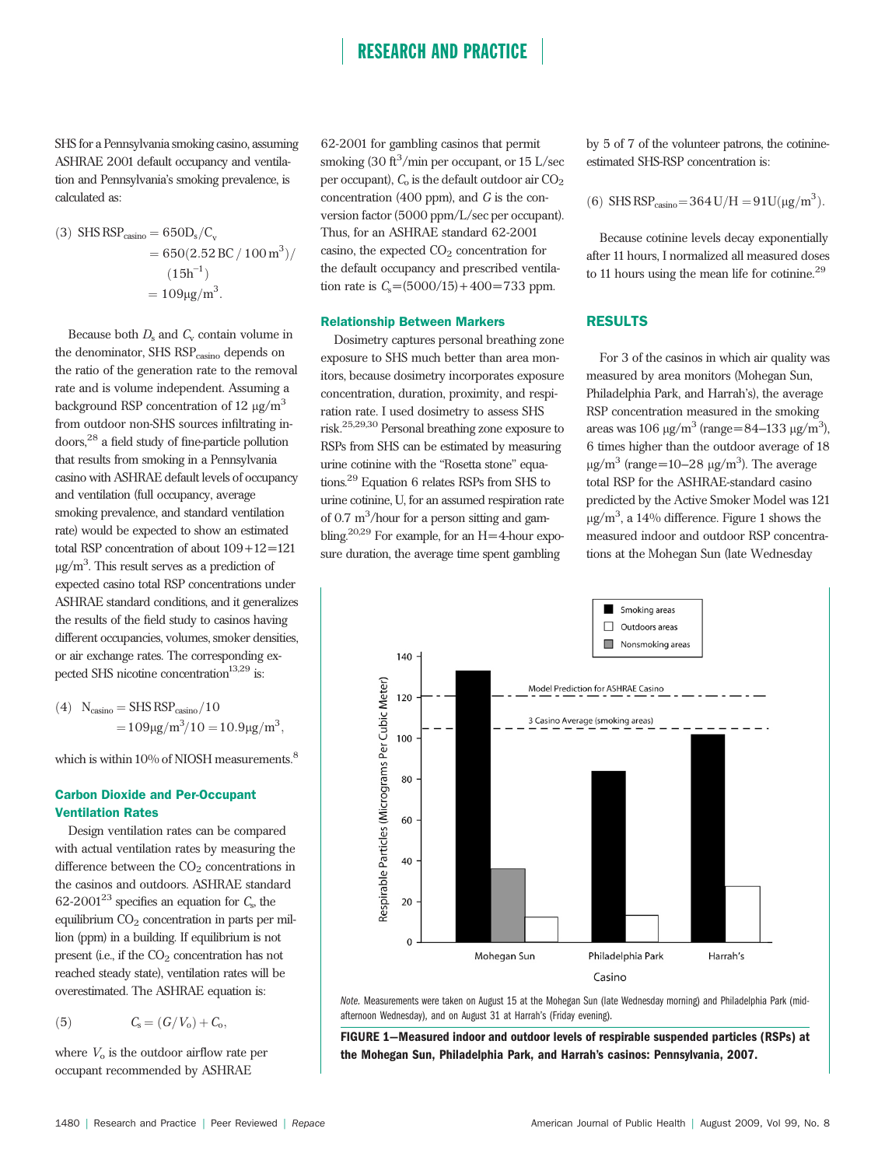SHS for a Pennsylvania smoking casino, assuming ASHRAE 2001 default occupancy and ventilation and Pennsylvania's smoking prevalence, is calculated as:

(3) SHS RSP<sub>casino</sub> = 
$$
650D_s/C_v
$$
  
=  $650(2.52 \text{ BC} / 100 \text{ m}^3)/$   
 $(15h^{-1})$   
=  $109\mu\text{g/m}^3$ .

Because both  $D_s$  and  $C_v$  contain volume in the denominator, SHS RSP<sub>casino</sub> depends on the ratio of the generation rate to the removal rate and is volume independent. Assuming a background RSP concentration of 12  $\mu$ g/m<sup>3</sup> from outdoor non-SHS sources infiltrating indoors,<sup>28</sup> a field study of fine-particle pollution that results from smoking in a Pennsylvania casino with ASHRAE default levels of occupancy and ventilation (full occupancy, average smoking prevalence, and standard ventilation rate) would be expected to show an estimated total RSP concentration of about 109+12=121  $\mu$ g/m<sup>3</sup>. This result serves as a prediction of expected casino total RSP concentrations under ASHRAE standard conditions, and it generalizes the results of the field study to casinos having different occupancies, volumes, smoker densities, or air exchange rates. The corresponding expected SHS nicotine concentration<sup>13,29</sup> is:

(4) 
$$
N_{\text{casino}} = SHS RSP_{\text{casino}}/10
$$

$$
= 109 \mu g/m^3/10 = 10.9 \mu g/m^3,
$$

which is within 10% of NIOSH measurements.<sup>8</sup>

#### Carbon Dioxide and Per-Occupant Ventilation Rates

Design ventilation rates can be compared with actual ventilation rates by measuring the difference between the  $CO<sub>2</sub>$  concentrations in the casinos and outdoors. ASHRAE standard  $62-2001^{23}$  specifies an equation for  $C_s$ , the equilibrium CO<sub>2</sub> concentration in parts per million (ppm) in a building. If equilibrium is not present (i.e., if the  $CO<sub>2</sub>$  concentration has not reached steady state), ventilation rates will be overestimated. The ASHRAE equation is:

(5) 
$$
C_{s} = (G/V_{o}) + C_{o},
$$

where  $V_0$  is the outdoor airflow rate per occupant recommended by ASHRAE

62-2001 for gambling casinos that permit smoking (30 ft<sup>3</sup>/min per occupant, or 15 L/sec per occupant),  $C_0$  is the default outdoor air  $CO_2$ concentration (400 ppm), and G is the conversion factor (5000 ppm/L/sec per occupant). Thus, for an ASHRAE standard 62-2001 casino, the expected  $CO<sub>2</sub>$  concentration for the default occupancy and prescribed ventilation rate is  $C_s = (5000/15) + 400 = 733$  ppm.

#### Relationship Between Markers

Dosimetry captures personal breathing zone exposure to SHS much better than area monitors, because dosimetry incorporates exposure concentration, duration, proximity, and respiration rate. I used dosimetry to assess SHS risk.25,29,30 Personal breathing zone exposure to RSPs from SHS can be estimated by measuring urine cotinine with the "Rosetta stone" equations.29 Equation 6 relates RSPs from SHS to urine cotinine, U, for an assumed respiration rate of  $0.7 \text{ m}^3$ /hour for a person sitting and gambling.<sup>20,29</sup> For example, for an  $H=4$ -hour exposure duration, the average time spent gambling

by 5 of 7 of the volunteer patrons, the cotinineestimated SHS-RSP concentration is:

(6) SHS RSP<sub>casino</sub>=364 U/H = 
$$
91U(\mu g/m^3)
$$
.

Because cotinine levels decay exponentially after 11 hours, I normalized all measured doses to 11 hours using the mean life for cotinine.<sup>29</sup>

#### RESULTS

For 3 of the casinos in which air quality was measured by area monitors (Mohegan Sun, Philadelphia Park, and Harrah's), the average RSP concentration measured in the smoking areas was 106  $\mu$ g/m<sup>3</sup> (range=84–133  $\mu$ g/m<sup>3</sup>), 6 times higher than the outdoor average of 18  $\mu$ g/m<sup>3</sup> (range=10–28  $\mu$ g/m<sup>3</sup>). The average total RSP for the ASHRAE-standard casino predicted by the Active Smoker Model was 121  $\mu$ g/m<sup>3</sup>, a 14% difference. Figure 1 shows the measured indoor and outdoor RSP concentrations at the Mohegan Sun (late Wednesday



Note. Measurements were taken on August 15 at the Mohegan Sun (late Wednesday morning) and Philadelphia Park (midafternoon Wednesday), and on August 31 at Harrah's (Friday evening).

FIGURE 1—Measured indoor and outdoor levels of respirable suspended particles (RSPs) at the Mohegan Sun, Philadelphia Park, and Harrah's casinos: Pennsylvania, 2007.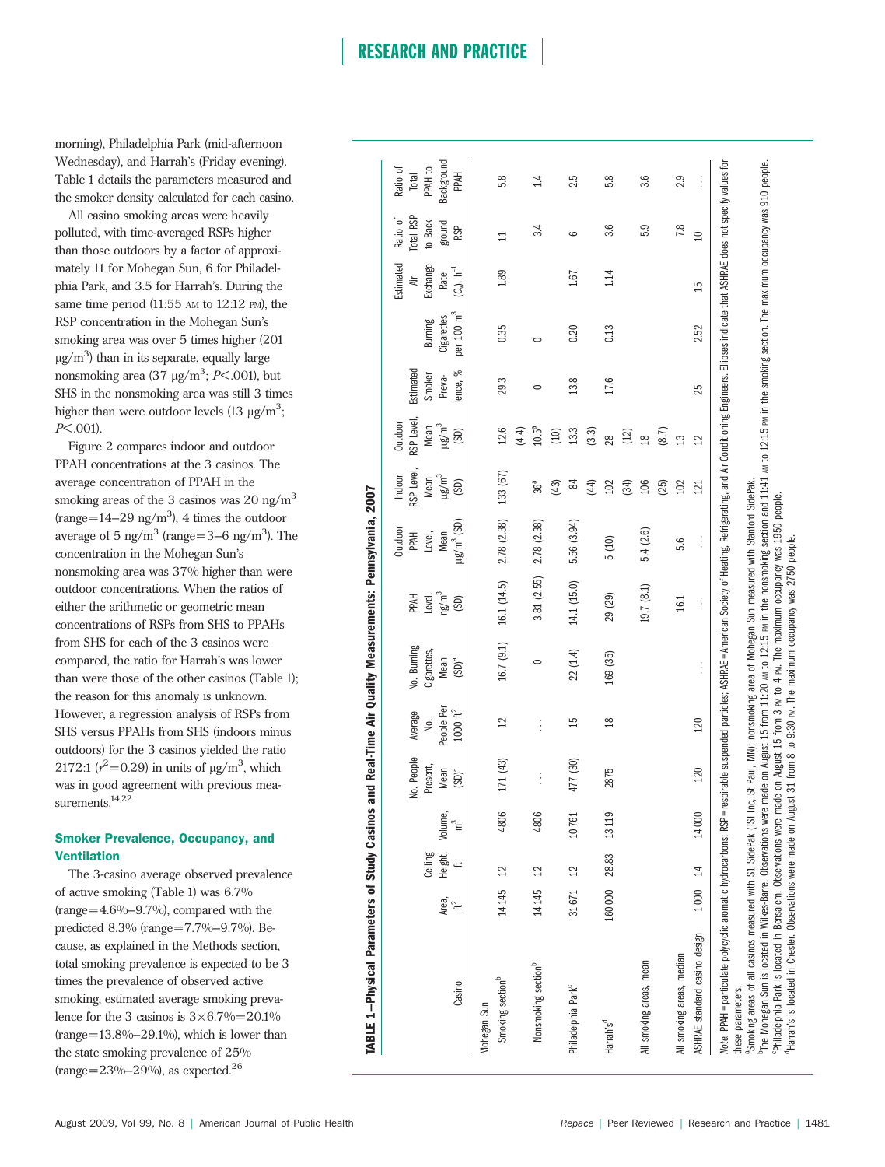morning), Philadelphia Park (mid-afternoon Wednesday), and Harrah's (Friday evening). Table 1 details the parameters measured and the smoker density calculated for each casino.

All casino smoking areas were heavily polluted, with time-averaged RSPs higher than those outdoors by a factor of approximately 11 for Mohegan Sun, 6 for Philadelphia Park, and 3.5 for Harrah's. During the same time period  $(11:55)$  AM to  $12:12$  PM), the RSP concentration in the Mohegan Sun's smoking area was over 5 times higher (201  $\mu$ g/m<sup>3</sup>) than in its separate, equally large nonsmoking area  $(37 \text{ µg/m}^3; P<.001)$ , but SHS in the nonsmoking area was still 3 times higher than were outdoor levels (13  $\mu$ g/m<sup>3</sup>;  $P<.001$ ).

Figure 2 compares indoor and outdoor PPAH concentrations at the 3 casinos. The average concentration of PPAH in the smoking areas of the 3 casinos was  $20 \text{ ng/m}^3$  $(range=14-29$  ng/m<sup>3</sup>), 4 times the outdoor average of 5 ng/m<sup>3</sup> (range=3–6 ng/m<sup>3</sup>). The concentration in the Mohegan Sun's nonsmoking area was 37% higher than were outdoor concentrations. When the ratios of either the arithmetic or geometric mean concentrations of RSPs from SHS to PPAHs from SHS for each of the 3 casinos were compared, the ratio for Harrah's was lower than were those of the other casinos (Table 1); the reason for this anomaly is unknown. However, a regression analysis of RSPs from SHS versus PPAHs from SHS (indoors minus outdoors) for the 3 casinos yielded the ratio 2172:1 ( $r^2$ =0.29) in units of  $\mu$ g/m<sup>3</sup>, which was in good agreement with previous measurements.<sup>14,22</sup>

#### Smoker Prevalence, Occupancy, and Ventilation

The 3-casino average observed prevalence of active smoking (Table 1) was 6.7%  $(range=4.6\% - 9.7\%)$ , compared with the predicted 8.3% (range=7.7%–9.7%). Because, as explained in the Methods section, total smoking prevalence is expected to be 3 times the prevalence of observed active smoking, estimated average smoking prevalence for the 3 casinos is  $3\times 6.7\% = 20.1\%$  $(range=13.8\% - 29.1\%), which is lower than$ the state smoking prevalence of 25%  $(range=23\% - 29\%)$ , as expected.<sup>26</sup>

|                                          |                         |                       | No. People | Average            | No. Burning | <b>HNdd</b>       | Outdoor<br><b>PAH</b>       | RSP Level<br>Indoor | RSP Level,<br>Outdoor | Estimated   |              | Estimated<br>ä     | Total RSP<br>Ratio of | Ratio of<br>Total |
|------------------------------------------|-------------------------|-----------------------|------------|--------------------|-------------|-------------------|-----------------------------|---------------------|-----------------------|-------------|--------------|--------------------|-----------------------|-------------------|
|                                          |                         | Ceiling               | Present,   | .<br>ا             | Cigarettes, | Level,            | Level,                      | Mean                | Mean                  | Smoker      | Burning      | Exchange           | to Back-              | PPAH to           |
| Area,                                    |                         |                       | Mean       | People Per         | Mean        | ng/m <sup>3</sup> | Mean                        | นg/m <sup>3</sup>   | $\mu$ g/m $^3$        | Preva-      | Cigarettes   | Rate               | ground                | Background        |
| $\mathfrak{t}$<br>Casino                 |                         | Height, Volume,<br>ft | $(SD)^a$   | $1000~\text{ft}^2$ | $(SD)^a$    | (SD)              | $\mu$ g/m <sup>3</sup> (SD) | (SD)                | (SD)                  | శ<br>lence, | per 100 $m3$ | $(C_v)$ , $h^{-1}$ | <b>RSP</b>            | PAH               |
| Mohegan Sun                              |                         |                       |            |                    |             |                   |                             |                     |                       |             |              |                    |                       |                   |
| 14145<br>Smoking section <sup>b</sup>    | $\overline{2}$          | 4806                  | 171 (43)   | 12                 | 16.7(9.1)   | 16.1 (14.5)       | 2.78 (2.38)                 | 133 (67)            | 12.6                  | 29.3        | 0.35         | 1.89               | $\Xi$                 | 5.8               |
|                                          |                         |                       |            |                    |             |                   |                             |                     | (4.4)                 |             |              |                    |                       |                   |
| 14145<br>Nonsmoking section <sup>b</sup> | $\overline{2}$          | 4806                  |            | $\vdots$           | $\circ$     | 3.81 (2.55)       | 2.78 (2.38)                 | 36 <sup>a</sup>     | $10.5^{a}$            | $\circ$     | $\circ$      |                    | 3.4                   | 1.4               |
|                                          |                         |                       |            |                    |             |                   |                             | (43)                | (10)                  |             |              |                    |                       |                   |
| Philadelphia Park <sup>c</sup>           | 31671 12                | 10761                 | 477 (30)   | 15                 | 22(1.4)     | 14.1 (15.0)       | 5.56 (3.94)                 | 84                  | 13.3                  | 13.8        | 0.20         | 1.67               | ဖ                     | 2.5               |
|                                          |                         |                       |            |                    |             |                   |                             | (44)                | (3.3)                 |             |              |                    |                       |                   |
| Harrah's <sup>d</sup>                    |                         | 160 000 28.83 13119   | 2875       | $\frac{8}{2}$      | 169 (35)    | 29 (29)           | 5(10)                       | 102                 | 28                    | 17.6        | 0.13         | 1.14               | 3.6                   | 5.8               |
|                                          |                         |                       |            |                    |             |                   |                             | (34)                | (12)                  |             |              |                    |                       |                   |
| All smoking areas, mean                  |                         |                       |            |                    |             | 19.7 (8.1)        | 5.4(2.6)                    | 106                 | $\frac{8}{18}$        |             |              |                    | 5.9                   | 3.6               |
|                                          |                         |                       |            |                    |             |                   |                             | (25)                | (8.7)                 |             |              |                    |                       |                   |
| All smoking areas, median                |                         |                       |            |                    |             | 16.1              | 5.6                         | 102                 | $\mathbf{r}$          |             |              |                    | 7.8                   | 2.9               |
| ASHRAE standard casino design            | $\overline{14}$<br>1000 | 14000                 | 120        | 120                | $\vdots$    | $\vdots$          | $\vdots$                    | 121                 | $\mathfrak{a}$        | 25          | 2.52         | 15                 | $\Omega$              | $\vdots$          |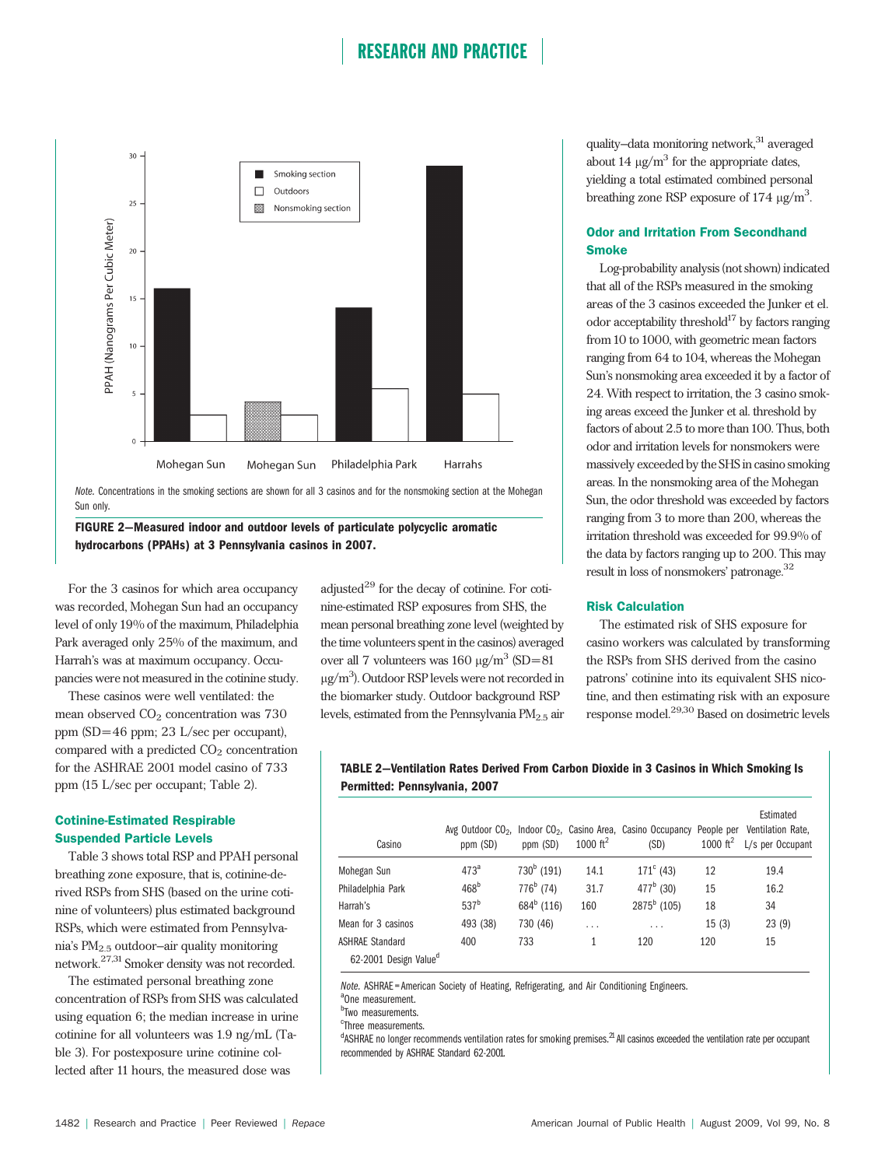

Sun only.

FIGURE 2—Measured indoor and outdoor levels of particulate polycyclic aromatic hydrocarbons (PPAHs) at 3 Pennsylvania casinos in 2007.

For the 3 casinos for which area occupancy was recorded, Mohegan Sun had an occupancy level of only 19% of the maximum, Philadelphia Park averaged only 25% of the maximum, and Harrah's was at maximum occupancy. Occupancies were not measured in the cotinine study.

These casinos were well ventilated: the mean observed  $CO<sub>2</sub>$  concentration was 730 ppm (SD= 46 ppm; 23 L/sec per occupant), compared with a predicted  $CO<sub>2</sub>$  concentration for the ASHRAE 2001 model casino of 733 ppm (15 L/sec per occupant; Table 2).

#### Cotinine-Estimated Respirable Suspended Particle Levels

Table 3 shows total RSP and PPAH personal breathing zone exposure, that is, cotinine-derived RSPs from SHS (based on the urine cotinine of volunteers) plus estimated background RSPs, which were estimated from Pennsylvania's PM2.5 outdoor–air quality monitoring network.27,31 Smoker density was not recorded.

The estimated personal breathing zone concentration of RSPs from SHS was calculated using equation 6; the median increase in urine cotinine for all volunteers was 1.9 ng/mL (Table 3). For postexposure urine cotinine collected after 11 hours, the measured dose was

adjusted $^{29}$  for the decay of cotinine. For cotinine-estimated RSP exposures from SHS, the mean personal breathing zone level (weighted by the time volunteers spent in the casinos) averaged over all 7 volunteers was  $160 \mu g/m^3 (SD=81$  $\mu$ g/m<sup>3</sup>). Outdoor RSP levels were not recorded in the biomarker study. Outdoor background RSP levels, estimated from the Pennsylvania  $PM_{2.5}$  air

quality–data monitoring network,<sup>31</sup> averaged about 14  $\mu$ g/m<sup>3</sup> for the appropriate dates, yielding a total estimated combined personal breathing zone RSP exposure of  $174 \mu g/m^3$ . .

#### Odor and Irritation From Secondhand **Smoke**

Log-probability analysis (not shown) indicated that all of the RSPs measured in the smoking areas of the 3 casinos exceeded the Junker et el. odor acceptability threshold $17$  by factors ranging from 10 to 1000, with geometric mean factors ranging from 64 to 104, whereas the Mohegan Sun's nonsmoking area exceeded it by a factor of 24. With respect to irritation, the 3 casino smoking areas exceed the Junker et al. threshold by factors of about 2.5 to more than 100. Thus, both odor and irritation levels for nonsmokers were massively exceeded by the SHS in casino smoking areas. In the nonsmoking area of the Mohegan Sun, the odor threshold was exceeded by factors ranging from 3 to more than 200, whereas the irritation threshold was exceeded for 99.9% of the data by factors ranging up to 200. This may result in loss of nonsmokers' patronage.<sup>32</sup>

#### Risk Calculation

The estimated risk of SHS exposure for casino workers was calculated by transforming the RSPs from SHS derived from the casino patrons' cotinine into its equivalent SHS nicotine, and then estimating risk with an exposure response model.29,30 Based on dosimetric levels

#### TABLE 2—Ventilation Rates Derived From Carbon Dioxide in 3 Casinos in Which Smoking Is Permitted: Pennsylvania, 2007

| Casino                            | ppm (SD)         | ppm (SD)      | 1000 $ft^2$ | Avg Outdoor $CO2$ , Indoor $CO2$ , Casino Area, Casino Occupancy<br>(SD) | People per<br>1000 $ft^2$ | Estimated<br>Ventilation Rate.<br>L/s per Occupant |
|-----------------------------------|------------------|---------------|-------------|--------------------------------------------------------------------------|---------------------------|----------------------------------------------------|
| Mohegan Sun                       | $473^a$          | $730^b$ (191) | 14.1        | $171^{\circ}$ (43)                                                       | 12                        | 19.4                                               |
| Philadelphia Park                 | 468 <sup>b</sup> | $776^b$ (74)  | 31.7        | $477^b$ (30)                                                             | 15                        | 16.2                                               |
| Harrah's                          | 537 <sup>b</sup> | $684^b$ (116) | 160         | $2875^b$ (105)                                                           | 18                        | 34                                                 |
| Mean for 3 casinos                | 493 (38)         | 730 (46)      | .           | $\cdot$ $\cdot$ $\cdot$                                                  | 15(3)                     | 23(9)                                              |
| <b>ASHRAE Standard</b>            | 400              | 733           | 1           | 120                                                                      | 120                       | 15                                                 |
| 62-2001 Design Value <sup>d</sup> |                  |               |             |                                                                          |                           |                                                    |

Note. ASHRAE = American Society of Heating, Refrigerating, and Air Conditioning Engineers.

<sup>a</sup>One measurement.

<sup>b</sup>Two measurements.

<sup>c</sup>Three measurements.

<sup>d</sup>ASHRAE no longer recommends ventilation rates for smoking premises.<sup>21</sup> All casinos exceeded the ventilation rate per occupant recommended by ASHRAE Standard 62-2001.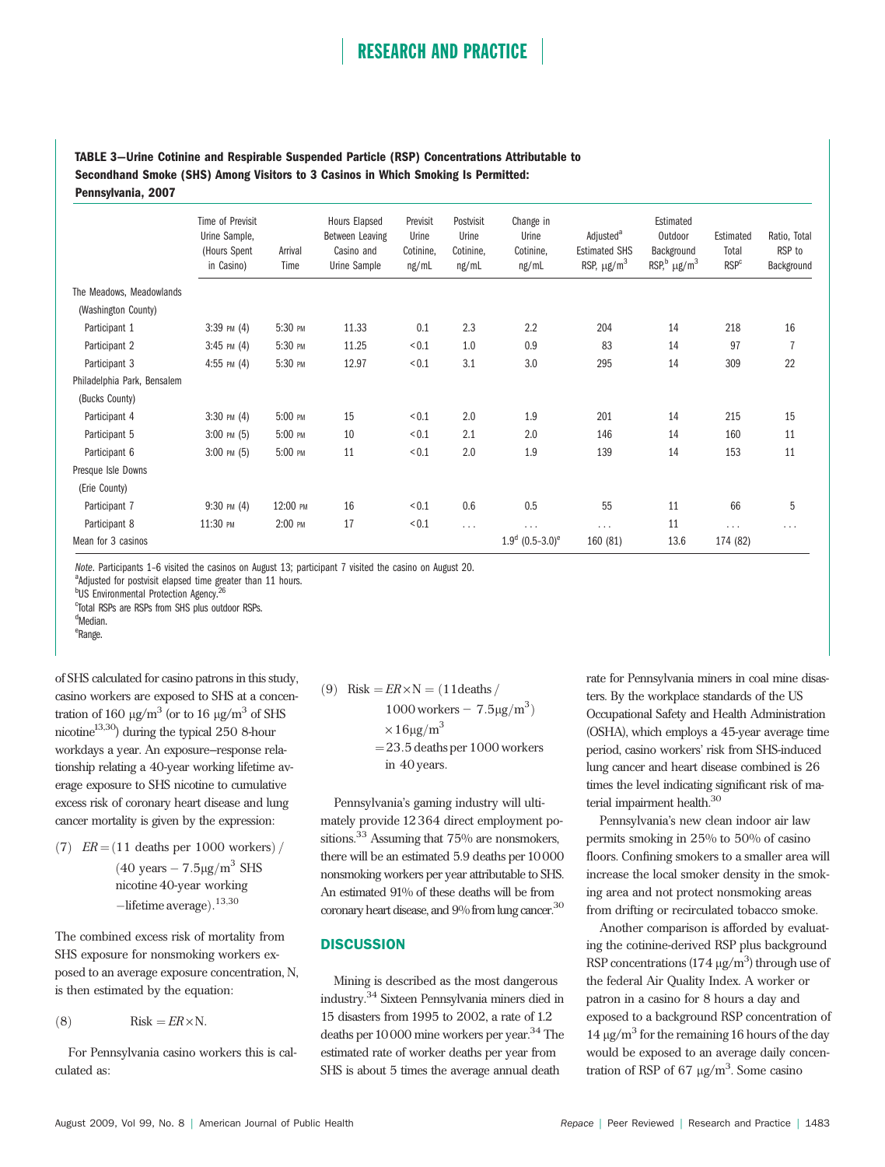#### TABLE 3—Urine Cotinine and Respirable Suspended Particle (RSP) Concentrations Attributable to Secondhand Smoke (SHS) Among Visitors to 3 Casinos in Which Smoking Is Permitted: Pennsylvania, 2007

|                             | Time of Previsit<br>Urine Sample,<br>(Hours Spent<br>in Casino) | Arrival<br>Time | Hours Elapsed<br>Between Leaving<br>Casino and<br>Urine Sample | Previsit<br>Urine<br>Cotinine,<br>ng/mL | Postvisit<br>Urine<br>Cotinine,<br>ng/mL | Change in<br>Urine<br>Cotinine,<br>ng/mL | Adjusted <sup>a</sup><br><b>Estimated SHS</b><br>RSP, $\mu$ g/m <sup>3</sup> | Estimated<br>Outdoor<br>Background<br>RSP, $\mu$ g/m <sup>3</sup> | Estimated<br>Total<br><b>RSP</b> <sup>c</sup> | Ratio, Total<br>RSP to<br>Background |
|-----------------------------|-----------------------------------------------------------------|-----------------|----------------------------------------------------------------|-----------------------------------------|------------------------------------------|------------------------------------------|------------------------------------------------------------------------------|-------------------------------------------------------------------|-----------------------------------------------|--------------------------------------|
| The Meadows, Meadowlands    |                                                                 |                 |                                                                |                                         |                                          |                                          |                                                                              |                                                                   |                                               |                                      |
| (Washington County)         |                                                                 |                 |                                                                |                                         |                                          |                                          |                                                                              |                                                                   |                                               |                                      |
| Participant 1               | $3:39$ PM $(4)$                                                 | 5:30 PM         | 11.33                                                          | 0.1                                     | 2.3                                      | 2.2                                      | 204                                                                          | 14                                                                | 218                                           | 16                                   |
| Participant 2               | $3:45$ PM $(4)$                                                 | 5:30 PM         | 11.25                                                          | < 0.1                                   | 1.0                                      | 0.9                                      | 83                                                                           | 14                                                                | 97                                            | $\overline{1}$                       |
| Participant 3               | $4:55$ PM $(4)$                                                 | 5:30 PM         | 12.97                                                          | < 0.1                                   | 3.1                                      | 3.0                                      | 295                                                                          | 14                                                                | 309                                           | 22                                   |
| Philadelphia Park, Bensalem |                                                                 |                 |                                                                |                                         |                                          |                                          |                                                                              |                                                                   |                                               |                                      |
| (Bucks County)              |                                                                 |                 |                                                                |                                         |                                          |                                          |                                                                              |                                                                   |                                               |                                      |
| Participant 4               | $3:30$ PM $(4)$                                                 | 5:00 PM         | 15                                                             | ${}_{<0.1}$                             | 2.0                                      | 1.9                                      | 201                                                                          | 14                                                                | 215                                           | 15                                   |
| Participant 5               | $3:00 \text{ PM } (5)$                                          | 5:00 PM         | 10                                                             | < 0.1                                   | 2.1                                      | 2.0                                      | 146                                                                          | 14                                                                | 160                                           | 11                                   |
| Participant 6               | $3:00$ PM $(5)$                                                 | 5:00 PM         | 11                                                             | < 0.1                                   | 2.0                                      | 1.9                                      | 139                                                                          | 14                                                                | 153                                           | 11                                   |
| Presque Isle Downs          |                                                                 |                 |                                                                |                                         |                                          |                                          |                                                                              |                                                                   |                                               |                                      |
| (Erie County)               |                                                                 |                 |                                                                |                                         |                                          |                                          |                                                                              |                                                                   |                                               |                                      |
| Participant 7               | $9:30$ PM $(4)$                                                 | 12:00 PM        | 16                                                             | ${}_{<0.1}$                             | 0.6                                      | 0.5                                      | 55                                                                           | 11                                                                | 66                                            | 5                                    |
| Participant 8               | 11:30 PM                                                        | 2:00 PM         | 17                                                             | < 0.1                                   | .                                        | $\cdots$                                 | .                                                                            | 11                                                                | .                                             | .                                    |
| Mean for 3 casinos          |                                                                 |                 |                                                                |                                         |                                          | $1.9^d$ (0.5-3.0) <sup>e</sup>           | 160 (81)                                                                     | 13.6                                                              | 174 (82)                                      |                                      |

Note. Participants 1-6 visited the casinos on August 13; participant 7 visited the casino on August 20.

<sup>a</sup>Adjusted for postvisit elapsed time greater than 11 hours.

<sup>b</sup>US Environmental Protection Agency.<sup>26</sup>

c Total RSPs are RSPs from SHS plus outdoor RSPs.

<sup>d</sup>Median.

e Range.

of SHS calculated for casino patrons in this study, casino workers are exposed to SHS at a concentration of 160  $\mu$ g/m<sup>3</sup> (or to 16  $\mu$ g/m<sup>3</sup> of SHS nicotine<sup>13,30</sup>) during the typical 250 8-hour workdays a year. An exposure–response relationship relating a 40-year working lifetime average exposure to SHS nicotine to cumulative excess risk of coronary heart disease and lung cancer mortality is given by the expression:

 $(7)$  ER =  $(11$  deaths per 1000 workers $)/$  $(40 \text{ years} - 7.5 \mu\text{g/m}^3 \text{ SHS})$ nicotine 40-year working -lifetime average).<sup>13,30</sup>

The combined excess risk of mortality from SHS exposure for nonsmoking workers exposed to an average exposure concentration, N, is then estimated by the equation:

$$
(8) \tRisk = ER \times N.
$$

For Pennsylvania casino workers this is calculated as:

(9) Risk = 
$$
ER \times N = (11 \text{ deaths} / 1000 \text{ workers} - 7.5 \mu\text{g/m}^3)
$$
  
\n $\times 16 \mu\text{g/m}^3$   
\n= 23.5 deaths per 1000 workers  
\nin 40 years.

Pennsylvania's gaming industry will ultimately provide 12364 direct employment positions.<sup>33</sup> Assuming that 75% are nonsmokers, there will be an estimated 5.9 deaths per 10000 nonsmoking workers per year attributable to SHS. An estimated 91% of these deaths will be from coronary heart disease, and 9% from lung cancer.<sup>30</sup>

#### **DISCUSSION**

Mining is described as the most dangerous industry.<sup>34</sup> Sixteen Pennsylvania miners died in 15 disasters from 1995 to 2002, a rate of 1.2 deaths per 10000 mine workers per year.<sup>34</sup> The estimated rate of worker deaths per year from SHS is about 5 times the average annual death

rate for Pennsylvania miners in coal mine disasters. By the workplace standards of the US Occupational Safety and Health Administration (OSHA), which employs a 45-year average time period, casino workers' risk from SHS-induced lung cancer and heart disease combined is 26 times the level indicating significant risk of material impairment health.<sup>30</sup>

Pennsylvania's new clean indoor air law permits smoking in 25% to 50% of casino floors. Confining smokers to a smaller area will increase the local smoker density in the smoking area and not protect nonsmoking areas from drifting or recirculated tobacco smoke.

Another comparison is afforded by evaluating the cotinine-derived RSP plus background RSP concentrations  $(174 \text{ µg/m}^3)$  through use of the federal Air Quality Index. A worker or patron in a casino for 8 hours a day and exposed to a background RSP concentration of 14  $\mu$ g/m<sup>3</sup> for the remaining 16 hours of the day would be exposed to an average daily concentration of RSP of 67  $\mu$ g/m<sup>3</sup>. Some casino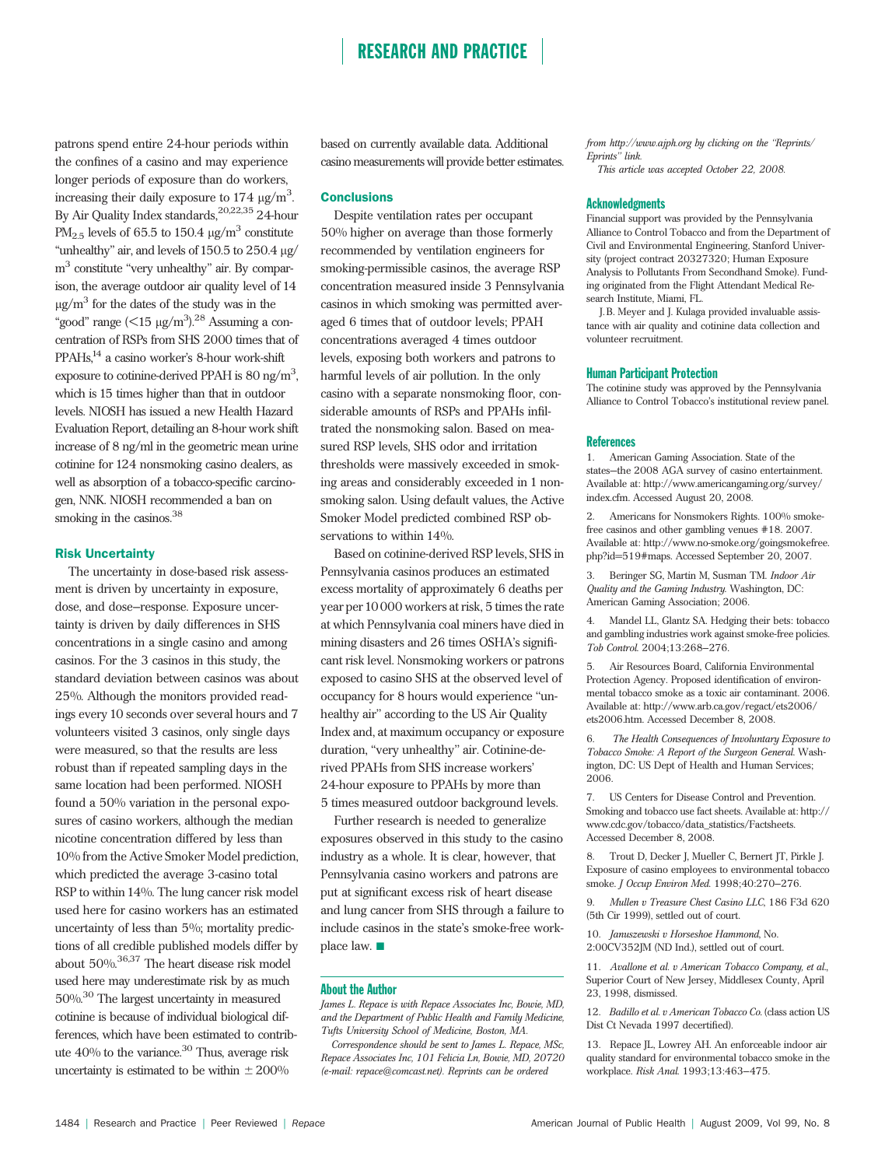patrons spend entire 24-hour periods within the confines of a casino and may experience longer periods of exposure than do workers, increasing their daily exposure to  $174 \mu g/m^3$ . . By Air Quality Index standards,<sup>20,22,35</sup> 24-hour PM<sub>2.5</sub> levels of 65.5 to 150.4  $\mu$ g/m<sup>3</sup> constitute "unhealthy" air, and levels of  $150.5$  to  $250.4$   $\mu$ g/  $m<sup>3</sup>$  constitute "very unhealthy" air. By comparison, the average outdoor air quality level of 14  $\mu$ g/m<sup>3</sup> for the dates of the study was in the "good" range  $(<$ 15 µg/m<sup>3</sup>).<sup>28</sup> Assuming a concentration of RSPs from SHS 2000 times that of PPAHs,<sup>14</sup> a casino worker's 8-hour work-shift exposure to cotinine-derived PPAH is  $80 \text{ ng/m}^3$ , , which is 15 times higher than that in outdoor levels. NIOSH has issued a new Health Hazard Evaluation Report, detailing an 8-hour work shift increase of 8 ng/ml in the geometric mean urine cotinine for 124 nonsmoking casino dealers, as well as absorption of a tobacco-specific carcinogen, NNK. NIOSH recommended a ban on smoking in the casinos.<sup>38</sup>

#### Risk Uncertainty

The uncertainty in dose-based risk assessment is driven by uncertainty in exposure, dose, and dose–response. Exposure uncertainty is driven by daily differences in SHS concentrations in a single casino and among casinos. For the 3 casinos in this study, the standard deviation between casinos was about 25%. Although the monitors provided readings every 10 seconds over several hours and 7 volunteers visited 3 casinos, only single days were measured, so that the results are less robust than if repeated sampling days in the same location had been performed. NIOSH found a 50% variation in the personal exposures of casino workers, although the median nicotine concentration differed by less than 10% from the Active Smoker Model prediction, which predicted the average 3-casino total RSP to within 14%. The lung cancer risk model used here for casino workers has an estimated uncertainty of less than 5%; mortality predictions of all credible published models differ by about 50%.36,37 The heart disease risk model used here may underestimate risk by as much 50%.30 The largest uncertainty in measured cotinine is because of individual biological differences, which have been estimated to contribute  $40\%$  to the variance.<sup>30</sup> Thus, average risk uncertainty is estimated to be within  $\pm 200\%$ 

based on currently available data. Additional casino measurements will provide better estimates.

#### Conclusions

Despite ventilation rates per occupant 50% higher on average than those formerly recommended by ventilation engineers for smoking-permissible casinos, the average RSP concentration measured inside 3 Pennsylvania casinos in which smoking was permitted averaged 6 times that of outdoor levels; PPAH concentrations averaged 4 times outdoor levels, exposing both workers and patrons to harmful levels of air pollution. In the only casino with a separate nonsmoking floor, considerable amounts of RSPs and PPAHs infiltrated the nonsmoking salon. Based on measured RSP levels, SHS odor and irritation thresholds were massively exceeded in smoking areas and considerably exceeded in 1 nonsmoking salon. Using default values, the Active Smoker Model predicted combined RSP observations to within 14%.

Based on cotinine-derived RSP levels, SHS in Pennsylvania casinos produces an estimated excess mortality of approximately 6 deaths per year per10000 workers at risk, 5 times the rate at which Pennsylvania coal miners have died in mining disasters and 26 times OSHA's significant risk level. Nonsmoking workers or patrons exposed to casino SHS at the observed level of occupancy for 8 hours would experience ''unhealthy air'' according to the US Air Quality Index and, at maximum occupancy or exposure duration, "very unhealthy" air. Cotinine-derived PPAHs from SHS increase workers' 24-hour exposure to PPAHs by more than 5 times measured outdoor background levels.

Further research is needed to generalize exposures observed in this study to the casino industry as a whole. It is clear, however, that Pennsylvania casino workers and patrons are put at significant excess risk of heart disease and lung cancer from SHS through a failure to include casinos in the state's smoke-free workplace law.  $\blacksquare$ 

#### About the Author

James L. Repace is with Repace Associates Inc, Bowie, MD, and the Department of Public Health and Family Medicine, Tufts University School of Medicine, Boston, MA.

Correspondence should be sent to James L. Repace, MSc, Repace Associates Inc, 101 Felicia Ln, Bowie, MD, 20720 (e-mail: repace@comcast.net). Reprints can be ordered

from http://www.ajph.org by clicking on the ''Reprints/ Eprints'' link.

This article was accepted October 22, 2008.

#### **Acknowledgments**

Financial support was provided by the Pennsylvania Alliance to Control Tobacco and from the Department of Civil and Environmental Engineering, Stanford University (project contract 20327320; Human Exposure Analysis to Pollutants From Secondhand Smoke). Funding originated from the Flight Attendant Medical Research Institute, Miami, FL.

J. B. Meyer and J. Kulaga provided invaluable assistance with air quality and cotinine data collection and volunteer recruitment.

#### Human Participant Protection

The cotinine study was approved by the Pennsylvania Alliance to Control Tobacco's institutional review panel.

#### References

1. American Gaming Association. State of the states—the 2008 AGA survey of casino entertainment. Available at: http://www.americangaming.org/survey/ index.cfm. Accessed August 20, 2008.

2. Americans for Nonsmokers Rights. 100% smokefree casinos and other gambling venues #18. 2007. Available at: http://www.no-smoke.org/goingsmokefree. php?id=519#maps. Accessed September 20, 2007.

3. Beringer SG, Martin M, Susman TM. Indoor Air Quality and the Gaming Industry. Washington, DC: American Gaming Association; 2006.

Mandel LL, Glantz SA. Hedging their bets: tobacco and gambling industries work against smoke-free policies. Tob Control. 2004;13:268–276.

5. Air Resources Board, California Environmental Protection Agency. Proposed identification of environmental tobacco smoke as a toxic air contaminant. 2006. Available at: http://www.arb.ca.gov/regact/ets2006/ ets2006.htm. Accessed December 8, 2008.

The Health Consequences of Involuntary Exposure to Tobacco Smoke: A Report of the Surgeon General. Washington, DC: US Dept of Health and Human Services; 2006.

7. US Centers for Disease Control and Prevention. Smoking and tobacco use fact sheets. Available at: http:// www.cdc.gov/tobacco/data\_statistics/Factsheets. Accessed December 8, 2008.

8. Trout D, Decker J, Mueller C, Bernert JT, Pirkle J. Exposure of casino employees to environmental tobacco smoke. J Occup Environ Med. 1998;40:270–276.

9. Mullen v Treasure Chest Casino LLC, 186 F3d 620 (5th Cir 1999), settled out of court.

10. Januszewski v Horseshoe Hammond, No. 2:00CV352JM (ND Ind.), settled out of court.

11. Avallone et al. v American Tobacco Company, et al., Superior Court of New Jersey, Middlesex County, April 23, 1998, dismissed.

12. Badillo et al. v American Tobacco Co. (class action US Dist Ct Nevada 1997 decertified).

13. Repace JL, Lowrey AH. An enforceable indoor air quality standard for environmental tobacco smoke in the workplace. Risk Anal. 1993;13:463–475.